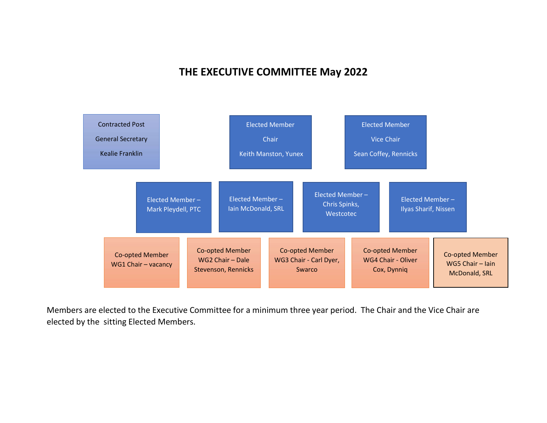## THE EXECUTIVE COMMITTEE May 2022



Members are elected to the Executive Committee for a minimum three year period. The Chair and the Vice Chair are elected by the sitting Elected Members.